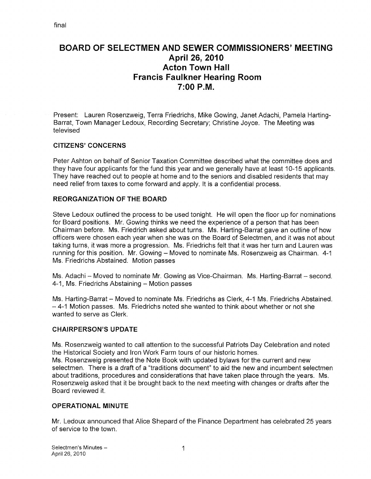# BOARD OF SELECTMEN AND SEWER COMMISSIONERS' MEETING April 26, 2010 Acton Town Hall Francis Faulkner Hearing Room 7:00 P.M.

Present: Lauren Rosenzweig, Terra Friedrichs, Mike Gowing, Janet Adachi, Pamela Harting Barrat, Town Manager Ledoux, Recording Secretary; Christine Joyce. The Meeting was televised

#### CITIZENS' CONCERNS

Peter Ashton on behalf of Senior Taxation Committee described what the committee does and they have four applicants for the fund this year and we generally have at least 10-15 applicants. They have reached out to people at home and to the seniors and disabled residents that may need relief from taxes to come forward and apply. It is a confidential process.

#### REORGANIZATION OF THE BOARD

Steve Ledoux outlined the process to be used tonight. He will open the floor up for nominations for Board positions. Mr. Gowing thinks we need the experience of a person that has been Chairman before. Ms. Friedrich asked about turns. Ms. Harting-Barrat gave an outline of how officers were chosen each year when she was on the Board of Selectmen, and it was not about taking turns, it was more a progression. Ms. Friedrichs felt that it was her turn and Lauren was running for this position. Mr. Gowing — Moved to nominate Ms. Rosenzweig as Chairman. 4-1 Ms. Friedrichs Abstained. Motion passes

Ms. Adachi — Moved to nominate Mr. Gowing as Vice-Chairman. Ms. Harting-Barrat — second. 4-1, Ms. Friedrichs Abstaining — Motion passes

Ms. Harting-Barrat — Moved to nominate Ms. Friedrichs as Clerk, 4-1 Ms. Friedrichs Abstained. — 4-1 Motion passes. Ms. Friedrichs noted she wanted to think about whether or not she wanted to serve as Clerk.

#### CHAIRPERSON'S UPDATE

Ms. Rosenzweig wanted to call attention to the successful Patriots Day Celebration and noted the Historical Society and Iron Work Farm tours of our historic homes. Ms. Rosenzweig presented the Note Book with updated bylaws for the current and new selectmen. There is a draft of a "traditions document" to aid the new and incumbent selectmen about traditions, procedures and considerations that have taken place through the years. Ms. Rosenzweig asked that it be brought back to the next meeting with changes or drafts after the Board reviewed it.

#### OPERATIONAL MINUTE

Mr. Ledoux announced that Alice Shepard of the Finance Department has celebrated 25 years of service to the town.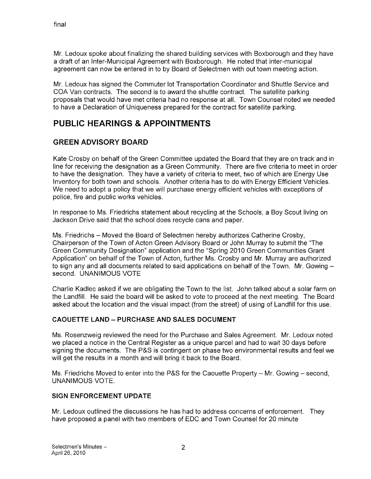Mr. Ledoux spoke about finalizing the shared building services with Boxborough and they have a draft of an Inter-Municipal Agreement with Boxborough. He noted that inter-municipal agreement can now be entered in to by Board of Selectmen with out town meeting action.

Mr. Ledoux has signed the Commuter lot Transportation Coordinator and Shuttle Service and COA Van contracts. The second is to award the shuttle contract. The satellite parking proposals that would have met criteria had no response at all. Town Counsel noted we needed to have a Declaration of Uniqueness prepared for the contract for satellite parking.

# PUBLIC HEARINGS & APPOINTMENTS

#### GREEN ADVISORY BOARD

Kate Crosby on behalf of the Green Committee updated the Board that they are on track and in line for receiving the designation as a Green Community. There are five criteria to meet in order to have the designation. They have a variety of criteria to meet, two of which are Energy Use Inventory for both town and schools. Another criteria has to do with Energy Efficient Vehicles. We need to adopt a policy that we will purchase energy efficient vehicles with exceptions of police, fire and public works vehicles.

In response to Ms. Friedrichs statement about recycling at the Schools, a Boy Scout living on Jackson Drive said that the school does recycle cans and paper.

Ms. Friedrichs — Moved the Board of Selectmen hereby authorizes Catherine Crosby, Chairperson of the Town of Acton Green Advisory Board or John Murray to submit the "The Green Community Designation" application and the "Spring 2010 Green Communities Grant Application" on behalf of the Town of Acton, further Ms. Crosby and Mr. Murray are authorized to sign any and all documents related to said applications on behalf of the Town. Mr. Gowing second. UNANIMOUS VOTE

Charlie Kadlec asked if we are obligating the Town to the list. John talked about a solar farm on the Landfill. He said the board will be asked to vote to proceed at the next meeting. The Board asked about the location and the visual impact (from the street) of using of Landfill for this use.

#### CAOUETTE LAND — PURCHASE AND SALES DOCUMENT

Ms. Rosenzweig reviewed the need for the Purchase and Sales Agreement. Mr. Ledoux noted we placed a notice in the Central Register as a unique parcel and had to wait 30 days before signing the documents. The P&S is contingent on phase two environmental results and feel we will get the results in a month and will bring it back to the Board.

Ms. Friedrichs Moved to enter into the P&S for the Caouette Property — Mr. Gowing — second, UNANIMOUS VOTE.

#### SIGN ENFORCEMENT UPDATE

Mr. Ledoux outlined the discussions he has had to address concerns of enforcement. They have proposed a panel with two members of EDC and Town Counsel for 20 minute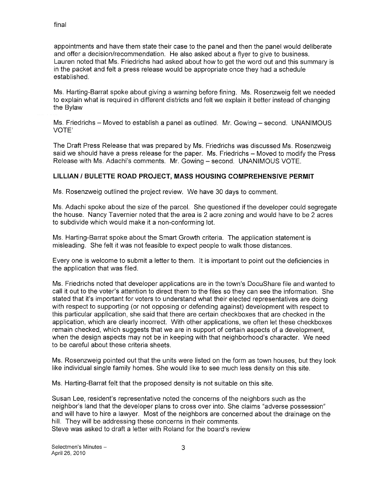appointments and have them state their case to the panel and then the panel would deliberate and offer a decision/recommendation. He also asked about a flyer to give to business. Lauren noted that Ms. Friedrichs had asked about how to get the word out and this summary is in the packet and felt a press release would be appropriate once they had a schedule established.

Ms. Harting-Barrat spoke about giving a warning before fining. Ms. Rosenzweig felt we needed to explain what is required in different districts and felt we explain it better instead of changing the Bylaw

Ms. Friedrichs — Moved to establish a panel as outlined. Mr. Gowing — second. UNANIMOUS VOTE'

The Draft Press Release that was prepared by Ms. Friedrichs was discussed Ms. Rosenzweig said we should have a press release for the paper. Ms. Friedrichs — Moved to modify the Press Release with Ms. Adachi's comments. Mr. Cowing — second. UNANIMOUS VOTE.

#### LILLIAN / BULETTE ROAD PROJECT, MASS HOUSING COMPREHENSIVE PERMIT

Ms. Rosenzweig outlined the project review. We have 30 days to comment.

Ms. Adachi spoke about the size of the parcel. She questioned if the developer could segregate the house. Nancy Tavernier noted that the area is 2 acre zoning and would have to be 2 acres to subdivide which would make it a non-conforming lot.

Ms. Harting-Barrat spoke about the Smart Growth criteria. The application statement is misleading. She felt it was not feasible to expect people to walk those distances.

Every one is welcome to submit a letter to them. It is important to point out the deficiencies in the application that was filed.

Ms. Friedrichs noted that developer applications are in the town's DocuShare file and wanted to call it out to the voter's attention to direct them to the files so they can see the information. She stated that it's important for voters to understand what their elected representatives are doing with respect to supporting (or not opposing or defending against) development with respect to this particular application, she said that there are certain checkboxes that are checked in the application, which are clearly incorrect. With other applications, we often let these checkboxes remain checked, which suggests that we are in support of certain aspects of a development, when the design aspects may not be in keeping with that neighborhood's character. We need to be careful about these criteria sheets.

Ms. Rosenzweig pointed out that the units were listed on the form as town houses, but they look like individual single family homes. She would like to see much less density on this site.

Ms. Harting-Barrat felt that the proposed density is not suitable on this site.

Susan Lee, resident's representative noted the concerns of the neighbors such as the neighbor's land that the developer plans to cross over into. She claims 'adverse possession" and will have to hire a lawyer. Most of the neighbors are concerned about the drainage on the hill. They will be addressing these concerns in their comments. Steve was asked to draft a letter with Roland for the board's review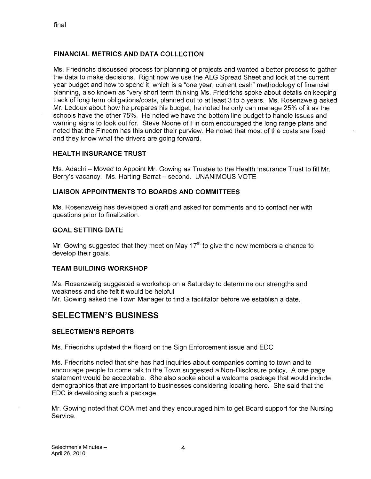#### FINANCIAL METRICS AND DATA COLLECTION

Ms. Friedrichs discussed process for planning of projects and wanted a better process to gather the data to make decisions. Right now we use the ALG Spread Sheet and look at the current year budget and how to spend it, which is a "one year, current cash" methodology of financial planning, also known as "very short term thinking Ms. Friedrichs spoke about details on keeping track of long term obligations/costs, planned out to at least 3 to 5 years. Ms. Rosenzweig asked Mr. Ledoux about how he prepares his budget; he noted he only can manage 25% of it as the schools have the other 75%. He noted we have the bottom line budget to handle issues and warning signs to look out for. Steve Noone of Fin com encouraged the long range plans and noted that the Fincom has this under their purview. He noted that most of the costs are fixed and they know what the drivers are going forward.

#### HEALTH INSURANCE TRUST

Ms. Adachi – Moved to Appoint Mr. Gowing as Trustee to the Health Insurance Trust to fill Mr. Berry's vacancy. Ms. Harting-Barrat - second. UNANIMOUS VOTE

#### LIAISON APPOINTMENTS TO BOARDS AND COMMITTEES

Ms. Rosenzweig has developed a draft and asked for comments and to contact her with questions prior to finalization.

#### GOAL SETTING DATE

Mr. Gowing suggested that they meet on May  $17<sup>th</sup>$  to give the new members a chance to develop their goals.

#### TEAM BUILDING WORKSHOP

Ms. Rosenzweig suggested a workshop on a Saturday to determine our strengths and weakness and she felt it would be helpful Mr. Gowing asked the Town Manager to find a facilitator before we establish a date.

## SELECTMEN'S BUSINESS

#### SELECTMEN'S REPORTS

Ms. Friedrichs updated the Board on the Sign Enforcement issue and EDO

Ms. Friedrichs noted that she has had inquiries about companies coming to town and to encourage people to come talk to the Town suggested a Non-Disclosure policy. A one page statement would be acceptable. She also spoke about a welcome package that would include demographics that are important to businesses considering locating here. She said that the EDO is developing such a package.

Mr. Gowing noted that COA met and they encouraged him to get Board support for the Nursing Service.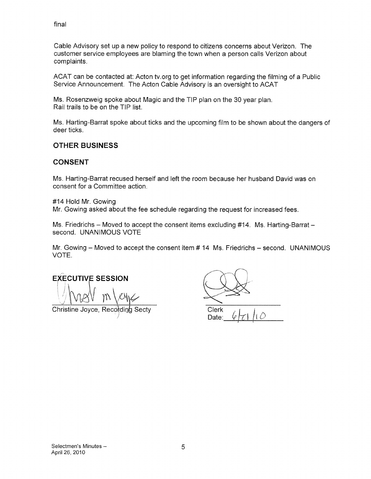final

Cable Advisory set up a new policy to respond to citizens concerns about Verizon. The customer service employees are blaming the town when a person calls Verizon about complaints.

ACAT can be contacted at: Acton tv.org to get information regarding the filming of a Public Service Announcement. The Acton Cable Advisory is an oversight to ACAT

Ms. Rosenzweig spoke about Magic and the TIP plan on the 30 year plan. Rail trails to be on the TIP list.

Ms. Harting-Barrat spoke about ticks and the upcoming film to be shown about the dangers of deer ticks.

#### OTHER BUSINESS

#### CONSENT

Ms. Harting-Barrat recused herself and left the room because her husband David was on consent for a Committee action.

#14 Hold Mr. Gowing

Mr. Gowing asked about the fee schedule regarding the request for increased fees.

Ms. Friedrichs — Moved to accept the consent items excluding #14. Ms. Harting-Barrat second. UNANIMOUS VOTE

Mr. Gowing — Moved to accept the consent item # 14 Ms. Friedrichs — second. UNANIMOUS VOTE.

**EXECUTIVE SESSION** 

Christine Joyce, Recording Secty

Clerk Date: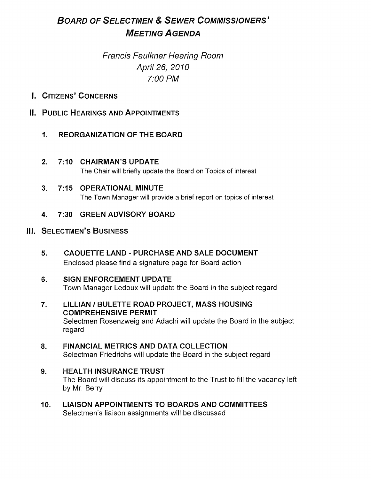# BOARD OF SELECTMEN & SEWER COMMISSIONERS' MEETING AGENDA

# Francis Faulkner Hearing Room April 26, 2010 7:00 PM

- I. CITIZENS' CONCERNS
- N. PUBLIC HEARINGS AND APPOINTMENTS
	- I. REORGANIZATION OF THE BOARD
	- 2. 7:10 CHAIRMAN'S UPDATE

The Chair will briefly update the Board on Topics of interest

- 3. 7:15 OPERATIONAL MINUTE The Town Manager will provide a brief report on topics of interest
- 4. 7:30 GREEN ADVISORY BOARD

### III. SELECTMEN'S BUSINESS

- 5. CAOUETTE LAND PURCHASE AND SALE DOCUMENT Enclosed please find a signature page for Board action
- 6. SIGN ENFORCEMENT UPDATE Town Manager Ledoux will update the Board in the subject regard
- 7. LILLIAN / BULETTE ROAD PROJECT, MASS HOUSING COMPREHENSIVE PERMIT Selectmen Rosenzweig and Adachi will update the Board in the subject regard
- 8. FINANCIAL METRICS AND DATA COLLECTION Selectman Friedrichs will update the Board in the subject regard
- 9. HEALTH INSURANCE TRUST The Board will discuss its appointment to the Trust to fill the vacancy left by Mr. Berry
- 10. LIAISON APPOINTMENTS TO BOARDS AND COMMITTEES Selectmen's liaison assignments will be discussed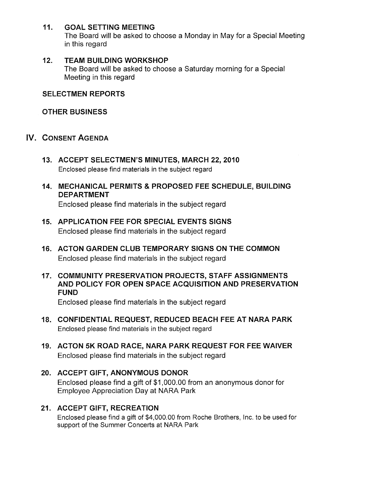#### 11. GOAL SETTING MEETING

The Board will be asked to choose a Monday in May for a Special Meeting in this regard

#### 12. TEAM BUILDING WORKSHOP

The Board will be asked to choose a Saturday morning for a Special Meeting in this regard

#### SELECTMEN REPORTS

#### OTHER BUSINESS

- IV. CONSENT AGENDA
	- 13. ACCEPT SELECTMEN'S MINUTES, MARCH 22, 2010 Enclosed please find materials in the subject regard
	- 14. MECHANICAL PERMITS & PROPOSED FEE SCHEDULE, BUILDING DEPARTMENT

Enclosed please find materials in the subject regard

- 15. APPLICATION FEE FOR SPECIAL EVENTS SIGNS Enclosed please find materials in the subject regard
- 16. ACTON GARDEN CLUB TEMPORARY SIGNS ON THE COMMON Enclosed please find materials in the subject regard
- 17. COMMUNITY PRESERVATION PROJECTS, STAFF ASSIGNMENTS AND POLICY FOR OPEN SPACE ACQUISITION AND PRESERVATION FUND

Enclosed please find materials in the subject regard

- 18. CONFIDENTIAL REQUEST, REDUCED BEACH FEE AT NARA PARK Enclosed please find materials in the subject regard
- 19. ACTON 5K ROAD RACE, NARA PARK REQUEST FOR FEE WAIVER Enclosed please find materials in the subject regard
- 20. ACCEPT GIFT, ANONYMOUS DONOR Enclosed please find a gift of \$1,000.00 from an anonymous donor for Employee Appreciation Day at NARA Park
- 21. ACCEPT GIFT, RECREATION

Enclosed please find a gift of \$4,000.00 from Roche Brothers, Inc. to be used for support of the Summer Concerts at NARA Park